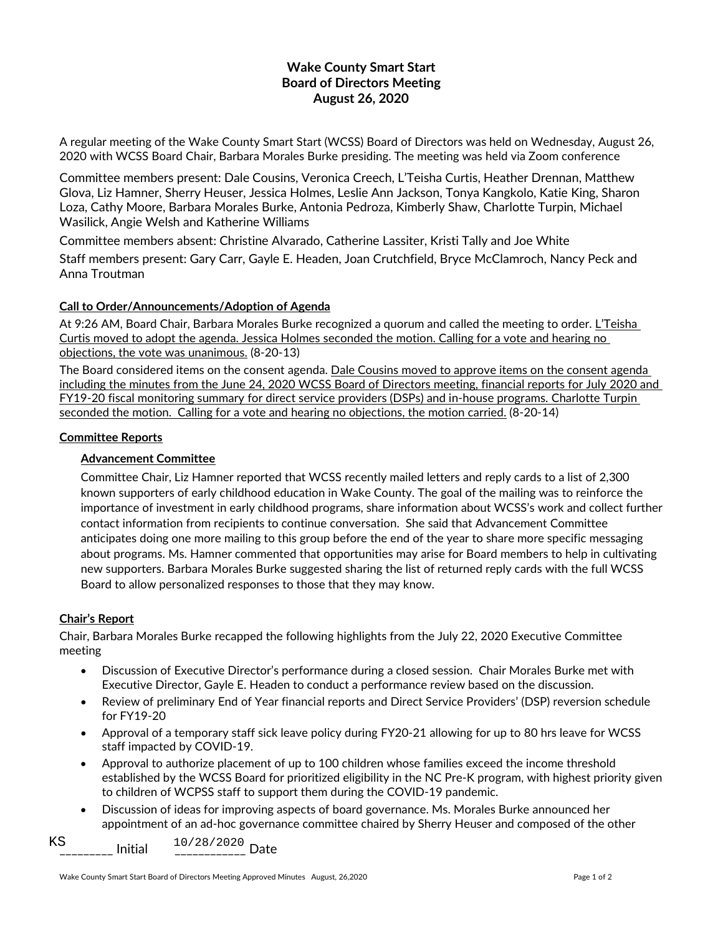# **Wake County Smart Start Board of Directors Meeting August 26, 2020**

A regular meeting of the Wake County Smart Start (WCSS) Board of Directors was held on Wednesday, August 26, 2020 with WCSS Board Chair, Barbara Morales Burke presiding. The meeting was held via Zoom conference

Committee members present: Dale Cousins, Veronica Creech, L'Teisha Curtis, Heather Drennan, Matthew Glova, Liz Hamner, Sherry Heuser, Jessica Holmes, Leslie Ann Jackson, Tonya Kangkolo, Katie King, Sharon Loza, Cathy Moore, Barbara Morales Burke, Antonia Pedroza, Kimberly Shaw, Charlotte Turpin, Michael Wasilick, Angie Welsh and Katherine Williams

Committee members absent: Christine Alvarado, Catherine Lassiter, Kristi Tally and Joe White

Staff members present: Gary Carr, Gayle E. Headen, Joan Crutchfield, Bryce McClamroch, Nancy Peck and Anna Troutman

## **Call to Order/Announcements/Adoption of Agenda**

At 9:26 AM, Board Chair, Barbara Morales Burke recognized a quorum and called the meeting to order. L'Teisha Curtis moved to adopt the agenda. Jessica Holmes seconded the motion. Calling for a vote and hearing no objections, the vote was unanimous. (8-20-13)

The Board considered items on the consent agenda. Dale Cousins moved to approve items on the consent agenda including the minutes from the June 24, 2020 WCSS Board of Directors meeting, financial reports for July 2020 and FY19-20 fiscal monitoring summary for direct service providers (DSPs) and in-house programs. Charlotte Turpin seconded the motion. Calling for a vote and hearing no objections, the motion carried. (8-20-14)

## **Committee Reports**

## **Advancement Committee**

Committee Chair, Liz Hamner reported that WCSS recently mailed letters and reply cards to a list of 2,300 known supporters of early childhood education in Wake County. The goal of the mailing was to reinforce the importance of investment in early childhood programs, share information about WCSS's work and collect further contact information from recipients to continue conversation. She said that Advancement Committee anticipates doing one more mailing to this group before the end of the year to share more specific messaging about programs. Ms. Hamner commented that opportunities may arise for Board members to help in cultivating new supporters. Barbara Morales Burke suggested sharing the list of returned reply cards with the full WCSS Board to allow personalized responses to those that they may know.

#### **Chair's Report**

Chair, Barbara Morales Burke recapped the following highlights from the July 22, 2020 Executive Committee meeting

- Discussion of Executive Director's performance during a closed session. Chair Morales Burke met with Executive Director, Gayle E. Headen to conduct a performance review based on the discussion.
- Review of preliminary End of Year financial reports and Direct Service Providers' (DSP) reversion schedule for FY19-20
- Approval of a temporary staff sick leave policy during FY20-21 allowing for up to 80 hrs leave for WCSS staff impacted by COVID-19.
- Approval to authorize placement of up to 100 children whose families exceed the income threshold established by the WCSS Board for prioritized eligibility in the NC Pre-K program, with highest priority given to children of WCPSS staff to support them during the COVID-19 pandemic.
- Discussion of ideas for improving aspects of board governance. Ms. Morales Burke announced her appointment of an ad-hoc governance committee chaired by Sherry Heuser and composed of the other

\_\_\_\_\_\_\_\_\_ Initial \_\_\_\_\_\_\_\_\_\_\_\_ Date KS 10/28/2020